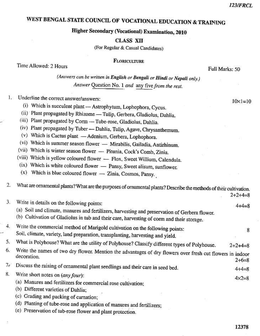# WEST BENGAL STATE COUNCIL OF VOCATIONAL EDUCATION & TRAINING

## Higher Secondary (Vocational) Examination, 2010

**CLASS XII** 

(For Regular & Casual Candidates)

**FLORICULTURE** 

Time Allowed: 2 Hours

Full Marks: 50

(Answers can be written in English or Bengali or Hindi or Nepali only.) Answer Question No. 1 and any five from the rest.

Underline the correct answer/answers: L.

- (i) Which is succulent plant Astrophytum, Lophophora, Cycus.
- (ii) Plant propagated by Rhizome Tulip, Gerbera, Gladiolus, Dahlia.
- (iii) Plant propagated by Corm Tube-rose, Gladiolus, Dahlia.
- (iv) Plant propagated by Tuber Dahlia, Tulip, Agave, Chrysanthemum.
- (v) Which is Cactus plant Adenium, Gerbera, Lophophora.
- (vi) Which is summer season flower Mirabilis, Gailadia, Antirhinum.
- (vii) Which is winter season flower Pitunia, Cock's Comb, Zinia.
- (viii) Which is yellow coloured flower Flox, Sweet Willium, Calendula.
- (ix) Which is white coloured flower Pansy, Sweet alisum, sunflower.
- $(x)$  Which is blue coloured flower Zinia, Cosmos, Pansy.

What are ornamental plants? What are the purposes of ornamental plants? Describe the methods of their cultivation.  $2.$ 

 $2 + 2 + 4 = 8$ 

| $\mathcal{L}$  | Write in details on the following points:                                                                                                                                                  | $+4=8$           |
|----------------|--------------------------------------------------------------------------------------------------------------------------------------------------------------------------------------------|------------------|
|                | (a) Soil and climate, manures and fertilizers, harvesting and preservation of Gerbera flower.<br>(b) Cultivation of Gladiolus in tub and their care, harvesting of corm and their storage. |                  |
| 4.             | Write the commercial method of Marigold cultivation on the following points:<br>Soil, climate, variety, land preparation, transplanting, harvesting and yield.                             | 8                |
| 5.             | What is Polyhouse? What are the utility of Polyhouse? Classify different types of Polyhouse.                                                                                               | $2+2+4=8$        |
| 6.             | Write the names of two dry flower. Mention the advantages of dry flowers over fresh cut flowers in indoor<br>decoration.<br>$2+6=8$                                                        |                  |
| 7 <sup>1</sup> | Discuss the raising of ornamental plant seedlings and their care in seed bed.                                                                                                              | $4+4=8$          |
| 8.             | Write short notes on (any four):<br>(a) Manures and fertilizers for commercial rose cultivation;<br>(b) Different varieties of Dahlia;<br>(c) Grading and packing of carnation;            | $4 \times 2 = 8$ |
|                | (d) Planting of tube-rose and application of manures and fertilizers;                                                                                                                      |                  |
|                | (e) Preservation of tub-rose flower and plant protection.                                                                                                                                  |                  |
|                |                                                                                                                                                                                            |                  |

 $10 \times 1 = 10$